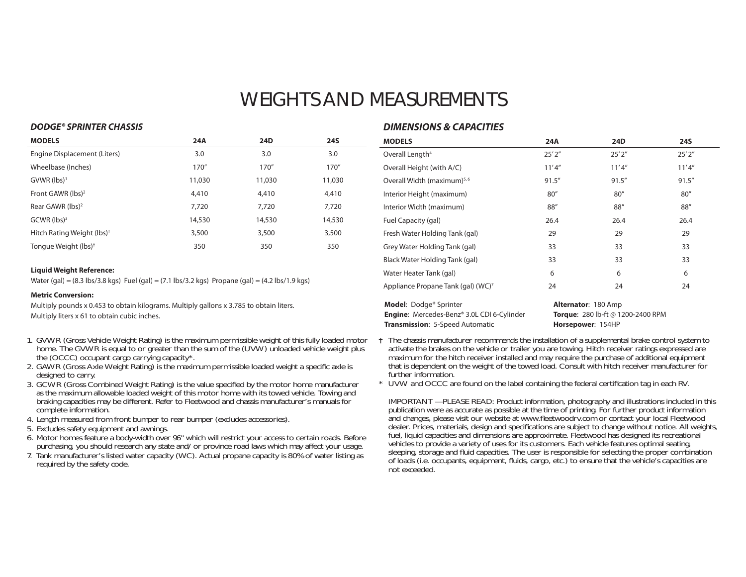# WEIGHTS AND MEASUREMENTS

#### *DODGE® SPRINTER CHASSIS*

| <b>MODELS</b>                          | 24A    | <b>24D</b> | <b>24S</b> |
|----------------------------------------|--------|------------|------------|
| Engine Displacement (Liters)           | 3.0    | 3.0        | 3.0        |
| Wheelbase (Inches)                     | 170''  | 170''      | 170''      |
| $GVWR$ (lbs) <sup>1</sup>              | 11,030 | 11,030     | 11,030     |
| Front GAWR (lbs) <sup>2</sup>          | 4,410  | 4,410      | 4,410      |
| Rear GAWR $(lbs)^2$                    | 7,720  | 7.720      | 7,720      |
| $GCWR$ (lbs) <sup>3</sup>              | 14,530 | 14,530     | 14,530     |
| Hitch Rating Weight (lbs) <sup>†</sup> | 3,500  | 3,500      | 3,500      |
| Tonque Weight (lbs) <sup>†</sup>       | 350    | 350        | 350        |

#### **Liquid Weight Reference:**

Water (gal) =  $(8.3 \text{ lbs}/3.8 \text{ kg})$  Fuel (gal) =  $(7.1 \text{ lbs}/3.2 \text{ kg})$  Propane (gal) =  $(4.2 \text{ lbs}/1.9 \text{ kg})$ 

#### **Metric Conversion:**

Multiply pounds x 0.453 to obtain kilograms. Multiply gallons x 3.785 to obtain liters. Multiply liters x 61 to obtain cubic inches.

- 1. GVWR (Gross Vehicle Weight Rating) is the maximum permissible weight of this fully loaded motor home. The GVWR is equal to or greater than the sum of the (UVW) unloaded vehicle weight plus the (OCCC) occupant cargo carrying capacity\*.
- 2. GAWR (Gross Axle Weight Rating) is the maximum permissible loaded weight a specific axle is designed to carry.
- 3. GCWR (Gross Combined Weight Rating) is the value specified by the motor home manufacturer as the maximum allowable loaded weight of this motor home with its towed vehicle. Towing and braking capacities may be different. Refer to Fleetwood and chassis manufacturer's manuals for complete information.
- 4. Length measured from front bumper to rear bumper (excludes accessories).
- 5. Excludes safety equipment and awnings.
- 6. Motor homes feature a body-width over 96" which will restrict your access to certain roads. Before purchasing, you should research any state and/or province road laws which may affect your usage.
- 7. Tank manufacturer's listed water capacity (WC). Actual propane capacity is 80% of water listing as required by the safety code.

### *DIMENSIONS & CAPACITIES*

| <b>MODELS</b>                                                                                                                            | 24A    | 24D                                                                                  | 24S    |  |
|------------------------------------------------------------------------------------------------------------------------------------------|--------|--------------------------------------------------------------------------------------|--------|--|
| Overall Length <sup>4</sup>                                                                                                              | 25'2'' | 25'2''                                                                               | 25'2'' |  |
| Overall Height (with A/C)                                                                                                                | 11'4'' | 11'4''                                                                               | 11'4'' |  |
| Overall Width (maximum) <sup>5,6</sup>                                                                                                   | 91.5'' | 91.5''                                                                               | 91.5'' |  |
| Interior Height (maximum)                                                                                                                | 80''   | 80''                                                                                 | 80''   |  |
| Interior Width (maximum)                                                                                                                 | 88"    | 88"                                                                                  | 88"    |  |
| Fuel Capacity (gal)                                                                                                                      | 26.4   | 26.4                                                                                 | 26.4   |  |
| Fresh Water Holding Tank (gal)                                                                                                           | 29     | 29                                                                                   | 29     |  |
| Grey Water Holding Tank (gal)                                                                                                            | 33     | 33                                                                                   | 33     |  |
| Black Water Holding Tank (gal)                                                                                                           | 33     | 33                                                                                   | 33     |  |
| Water Heater Tank (gal)                                                                                                                  | 6      | 6                                                                                    | 6      |  |
| Appliance Propane Tank (gal) (WC) <sup>7</sup>                                                                                           | 24     | 24                                                                                   | 24     |  |
| <b>Model:</b> Dodge <sup>®</sup> Sprinter<br><b>Engine:</b> Mercedes-Benz® 3.0L CDI 6-Cylinder<br><b>Transmission: 5-Speed Automatic</b> |        | Alternator: 180 Amp<br><b>Torque:</b> 280 lb-ft @ 1200-2400 RPM<br>Horsepower: 154HP |        |  |

- † The chassis manufacturer recommends the installation of a supplemental brake control system to activate the brakes on the vehicle or trailer you are towing. Hitch receiver ratings expressed are maximum for the hitch receiver installed and may require the purchase of additional equipment that is dependent on the weight of the towed load. Consult with hitch receiver manufacturer for further information.
- \* UVW and OCCC are found on the label containing the federal certification tag in each RV.

IMPORTANT — PLEASE READ: Product information, photography and illustrations included in this publication were as accurate as possible at the time of printing. For further product information and changes, please visit our website at www.fleetwoodrv.com or contact your local Fleetwood dealer. Prices, materials, design and specifications are subject to change without notice. All weights, fuel, liquid capacities and dimensions are approximate. Fleetwood has designed its recreational vehicles to provide a variety of uses for its customers. Each vehicle features optimal seating, sleeping, storage and fluid capacities. The user is responsible for selecting the proper combination of loads (i.e. occupants, equipment, fluids, cargo, etc.) to ensure that the vehicle's capacities are not exceeded.